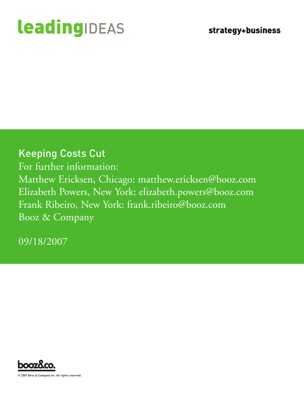# **leadingIDEAS**

### Keeping Costs Cut

For further information: Matthew Ericksen, Chicago: matthew.ericksen@booz.com Elizabeth Powers, New York: elizabeth.powers@booz.com Frank Ribeiro, New York: frank.ribeiro@booz.com Booz & Company

09/18/2007



2007 Booz & Company Inc. All rights reserved.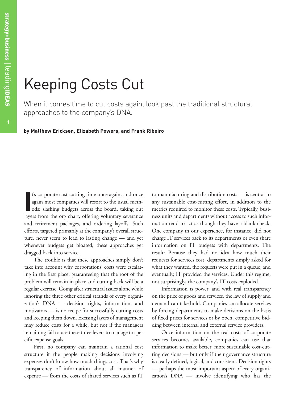## Keeping Costs Cut

When it comes time to cut costs again, look past the traditional structural approaches to the company's DNA.

**by Matthew Ericksen, Elizabeth Powers, and Frank Ribeiro**

**I** t's corporate cost-cutting time once again, and once again most companies will resort to the usual methods: slashing budgets across the board, taking out layers from the org chart, offering voluntary severance and retirement packages, and ordering layoffs. Such efforts, targeted primarily at the company's overall structure, never seem to lead to lasting change — and yet whenever budgets get bloated, these approaches get dragged back into service.

The trouble is that these approaches simply don't take into account why corporations' costs were escalating in the first place, guaranteeing that the root of the problem will remain in place and cutting back will be a regular exercise. Going after structural issues alone while ignoring the three other critical strands of every organization's DNA — decision rights, information, and motivators — is no recipe for successfully cutting costs and keeping them down. Excising layers of management may reduce costs for a while, but not if the managers remaining fail to use these three levers to manage to specific expense goals.

First, no company can maintain a rational cost structure if the people making decisions involving expenses don't know how much things cost. That's why transparency of information about all manner of expense — from the costs of shared services such as IT

to manufacturing and distribution costs — is central to any sustainable cost-cutting effort, in addition to the metrics required to monitor these costs. Typically, business units and departments without access to such information tend to act as though they have a blank check. One company in our experience, for instance, did not charge IT services back to its departments or even share information on IT budgets with departments. The result: Because they had no idea how much their requests for services cost, departments simply asked for what they wanted, the requests were put in a queue, and eventually, IT provided the services. Under this regime, not surprisingly, the company's IT costs exploded.

Information is power, and with real transparency on the price of goods and services, the law of supply and demand can take hold. Companies can allocate services by forcing departments to make decisions on the basis of fixed prices for services or by open, competitive bidding between internal and external service providers.

Once information on the real costs of corporate services becomes available, companies can use that information to make better, more sustainable cost-cutting decisions — but only if their governance structure is clearly defined, logical, and consistent. Decision rights — perhaps the most important aspect of every organization's DNA — involve identifying who has the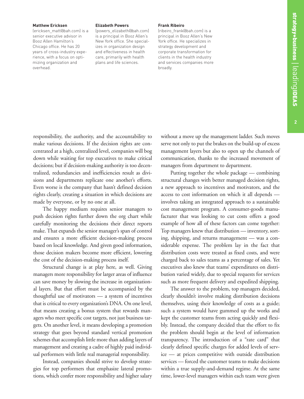#### **Matthew Ericksen**

(ericksen\_matt@bah.com) is a senior executive advisor in Booz Allen Hamilton's Chicago office. He has 20 years of cross-industry experience, with a focus on optimizing organization and overhead.

#### **Elizabeth Powers**

(powers\_elizabeth@bah.com) is a principal in Booz Allen's New York office. She specializes in organization design and effectiveness in health care, primarily with health plans and life sciences.

#### **Frank Ribeiro**

(ribeiro\_frank@bah.com) is a principal in Booz Allen's New York office. He specializes in strategy development and corporate transformation for clients in the health industry and services companies more broadly.

responsibility, the authority, and the accountability to make various decisions. If the decision rights are concentrated at a high, centralized level, companies will bog down while waiting for top executives to make critical decisions; but if decision-making authority is too decentralized, redundancies and inefficiencies result as divisions and departments replicate one another's efforts. Even worse is the company that hasn't defined decision rights clearly, creating a situation in which decisions are made by everyone, or by no one at all.

The happy medium requires senior managers to push decision rights further down the org chart while carefully monitoring the decisions their direct reports make. That expands the senior manager's span of control and ensures a more efficient decision-making process based on local knowledge. And given good information, those decision makers become more efficient, lowering the cost of the decision-making process itself.

Structural change is at play here, as well. Giving managers more responsibility for larger areas of influence can save money by slowing the increase in organizational layers. But that effort must be accompanied by the thoughtful use of motivators — a system of incentives that is critical to every organization's DNA. On one level, that means creating a bonus system that rewards managers who meet specific cost targets, not just business targets. On another level, it means developing a promotion strategy that goes beyond standard vertical promotion schemes that accomplish little more than adding layers of management and creating a cadre of highly paid individual performers with little real managerial responsibility.

Instead, companies should strive to develop strategies for top performers that emphasize lateral promotions, which confer more responsibility and higher salary without a move up the management ladder. Such moves serve not only to put the brakes on the build-up of excess management layers but also to open up the channels of communication, thanks to the increased movement of managers from department to department.

Putting together the whole package — combining structural changes with better managed decision rights, a new approach to incentives and motivators, and the access to cost information on which it all depends involves taking an integrated approach to a sustainable cost management program. A consumer-goods manufacturer that was looking to cut costs offers a good example of how all of these factors can come together: Top managers knew that distribution — inventory, sorting, shipping, and returns management — was a considerable expense. The problem lay in the fact that distribution costs were treated as fixed costs, and were charged back to sales teams as a percentage of sales. Yet executives also knew that teams' expenditures on distribution varied widely, due to special requests for services such as more frequent delivery and expedited shipping.

The answer to the problem, top managers decided, clearly shouldn't involve making distribution decisions themselves, using their knowledge of costs as a guide; such a system would have gummed up the works and kept the customer teams from acting quickly and flexibly. Instead, the company decided that the effort to fix the problem should begin at the level of information transparency. The introduction of a "rate card" that clearly defined specific charges for added levels of service — at prices competitive with outside distribution services — forced the customer teams to make decisions within a true supply-and-demand regime. At the same time, lower-level managers within each team were given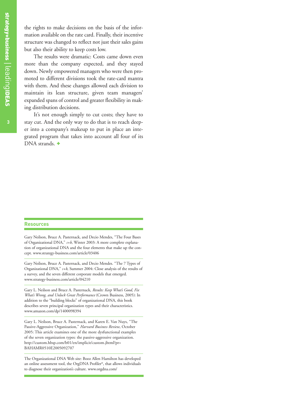the rights to make decisions on the basis of the information available on the rate card. Finally, their incentive structure was changed to reflect not just their sales gains but also their ability to keep costs low.

The results were dramatic: Costs came down even more than the company expected, and they stayed down. Newly empowered managers who were then promoted to different divisions took the rate-card mantra with them. And these changes allowed each division to maintain its lean structure, given team managers' expanded spans of control and greater flexibility in making distribution decisions.

It's not enough simply to cut costs; they have to stay cut. And the only way to do that is to reach deeper into a company's makeup to put in place an integrated program that takes into account all four of its DNA strands. +

#### **Resources**

Gary Neilson, Bruce A. Pasternack, and Decio Mendes, "The Four Bases of Organizational DNA," *s+b*, Winter 2003: A more complete explanation of organizational DNA and the four elements that make up the concept. www.strategy-business.com/article/03406

Gary Neilson, Bruce A. Pasternack, and Decio Mendes. "The 7 Types of Organizational DNA," *s+b*, Summer 2004: Close analysis of the results of a survey, and the seven different corporate models that emerged. www.strategy-business.com/article/04210

Gary L. Neilson and Bruce A. Pasternack, *Results: Keep What's Good, Fix What's Wrong, and Unlock Great Performance* (Crown Business, 2005): In addition to the "building blocks" of organizational DNA, this book describes seven principal organization types and their characteristics. www.amazon.com/dp/1400098394

Gary L. Neilson, Bruce A. Pasternack, and Karen E. Van Nuys, "The Passive-Aggressive Organization," *Harvard Business Review*, October 2005: This article examines one of the more dysfunctional examples of the seven organization types: the passive-aggressive organization. http://custom.hbsp.com/b01/en/implicit/custom.jhtml?pr= BAHAMR0510E2005092707

The Organizational DNA Web site: Booz Allen Hamilton has developed an online assessment tool, the OrgDNA Profiler®, that allows individuals to diagnose their organization's culture. www.orgdna.com/